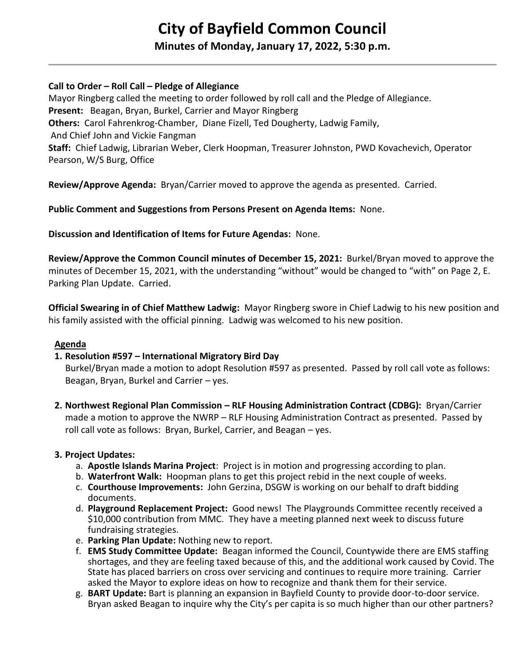# **City of Bayfield Common Council**

# **Minutes of Monday, January 17, 2022, 5:30 p.m.**

# **Call to Order – Roll Call – Pledge of Allegiance**

Mayor Ringberg called the meeting to order followed by roll call and the Pledge of Allegiance. **Present:** Beagan, Bryan, Burkel, Carrier and Mayor Ringberg **Others:** Carol Fahrenkrog-Chamber, Diane Fizell, Ted Dougherty, Ladwig Family, And Chief John and Vickie Fangman **Staff:** Chief Ladwig, Librarian Weber, Clerk Hoopman, Treasurer Johnston, PWD Kovachevich, Operator Pearson, W/S Burg, Office

**Review/Approve Agenda:** Bryan/Carrier moved to approve the agenda as presented. Carried.

# **Public Comment and Suggestions from Persons Present on Agenda Items:** None.

**Discussion and Identification of Items for Future Agendas:** None.

**Review/Approve the Common Council minutes of December 15, 2021:** Burkel/Bryan moved to approve the minutes of December 15, 2021, with the understanding "without" would be changed to "with" on Page 2, E. Parking Plan Update. Carried.

**Official Swearing in of Chief Matthew Ladwig:** Mayor Ringberg swore in Chief Ladwig to his new position and his family assisted with the official pinning. Ladwig was welcomed to his new position.

### **Agenda**

# **1. Resolution #597 – International Migratory Bird Day**

 Burkel/Bryan made a motion to adopt Resolution #597 as presented. Passed by roll call vote as follows: Beagan, Bryan, Burkel and Carrier – yes.

**2. Northwest Regional Plan Commission – RLF Housing Administration Contract (CDBG):** Bryan/Carrier made a motion to approve the NWRP – RLF Housing Administration Contract as presented. Passed by roll call vote as follows: Bryan, Burkel, Carrier, and Beagan – yes.

### **3. Project Updates:**

- a. **Apostle Islands Marina Project**: Project is in motion and progressing according to plan.
- b. **Waterfront Walk:** Hoopman plans to get this project rebid in the next couple of weeks.
- c. **Courthouse Improvements:** John Gerzina, DSGW is working on our behalf to draft bidding documents.
- d. **Playground Replacement Project:** Good news! The Playgrounds Committee recently received a \$10,000 contribution from MMC. They have a meeting planned next week to discuss future fundraising strategies.
- e. **Parking Plan Update:** Nothing new to report.
- f. **EMS Study Committee Update:** Beagan informed the Council, Countywide there are EMS staffing shortages, and they are feeling taxed because of this, and the additional work caused by Covid. The State has placed barriers on cross over servicing and continues to require more training. Carrier asked the Mayor to explore ideas on how to recognize and thank them for their service.
- g. **BART Update:** Bart is planning an expansion in Bayfield County to provide door-to-door service. Bryan asked Beagan to inquire why the City's per capita is so much higher than our other partners?